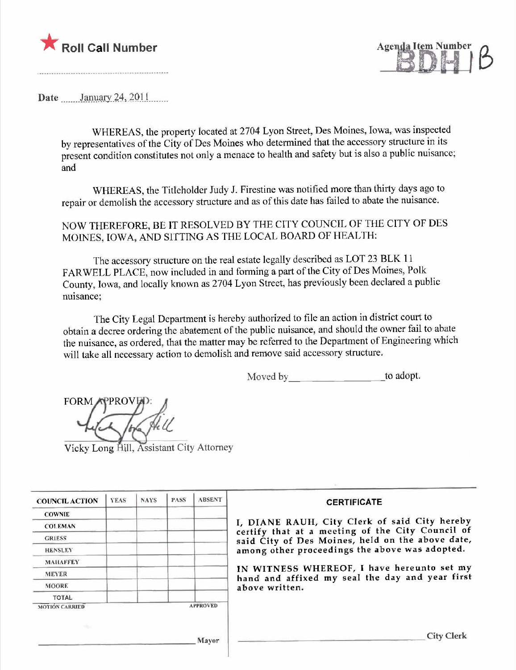



Date .......Jilll.\l.il.l).;('\,)Q.\........

WHEREAS, the property located at 2704 Lyon Street, Des Moines, Iowa, was inspected by representatives of the City of Des Moines who detennined that the accessory structure in its present condition constitutes not only a menace to health and safety but is also a public nuisance; and

WHEREAS, the Titleholder Judy J. Firestine was notified more than thirty days ago to repair or demolish the accessory structure and as of this date has failed to abate the nuisance.

NOW THEREFORE, BE IT RESOLVED BY THE CITY COUNCIL OF THE CITY OF DES MOINES, IOWA, AND SITTING AS THE LOCAL BOARD OF HEALTH:

The accessory structure on the real estate legally described as LOT 23 BLK I I FARWELL PLACE, now included in and forming a part of the City of Des Moines, Polk County, Iowa, and locally known as 2704 Lyon Street, has previously been declared a public nuisance;

The City Legal Department is hereby authorized to fie an action in district court to obtain a decree ordering the abatement of the public nuisance, and should the owner fail to abate the nuisance, as ordered, that the matter may be referred to the Deparment of Engineering which will take all necessary action to demolish and remove said accessory structure.

Moved by to adopt.

**FORM** 

Vicky Long Hill, Assistant City Attorney

| <b>COUNCIL ACTION</b> | <b>YEAS</b> | <b>NAYS</b> | <b>PASS</b> | <b>ABSENT</b>   | <b>CERTIFICATE</b>                                                                                |
|-----------------------|-------------|-------------|-------------|-----------------|---------------------------------------------------------------------------------------------------|
| <b>COWNIE</b>         |             |             |             |                 |                                                                                                   |
| <b>COLEMAN</b>        |             |             |             |                 | I, DIANE RAUH, City Clerk of said City hereby<br>certify that at a meeting of the City Council of |
| <b>GRIESS</b>         |             |             |             |                 | said City of Des Moines, held on the above date,                                                  |
| <b>HENSLEY</b>        |             |             |             |                 | among other proceedings the above was adopted.                                                    |
| <b>MAHAFFEY</b>       |             |             |             |                 |                                                                                                   |
| <b>MEYER</b>          |             |             |             |                 | IN WITNESS WHEREOF, I have hereunto set my<br>hand and affixed my seal the day and year first     |
| <b>MOORE</b>          |             |             |             |                 | above written.                                                                                    |
| <b>TOTAL</b>          |             |             |             |                 |                                                                                                   |
| <b>MOTION CARRIED</b> |             |             |             | <b>APPROVED</b> |                                                                                                   |
|                       |             |             |             |                 |                                                                                                   |
|                       |             |             |             | Mayor           | City Clerk                                                                                        |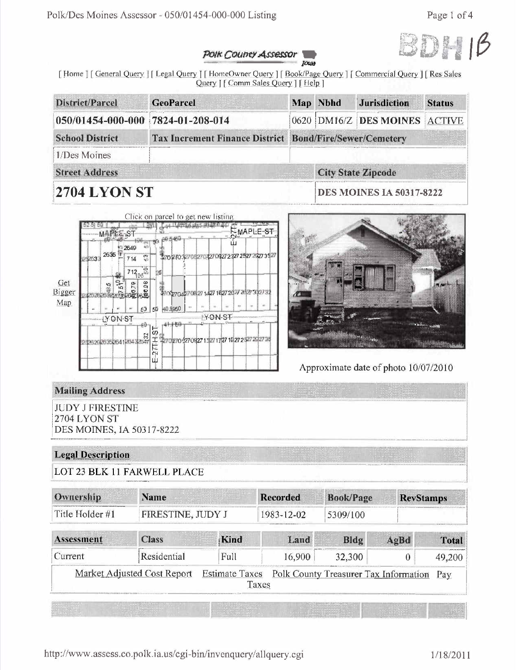

#### Polk Councy Assessor TOWN

[Home] [General Query ] [Legal Query ] [HomeOwner Query ] [Book/Page Query ] [Commercial Query ] [Res Sales Query ] [ Comm Sales Query ] [ Help ]

| District/Parcel                   | <b>GeoParcel</b>                                        |  | Map Nbhd | <b>Jurisdiction</b>             | <b>Status</b> |  |
|-----------------------------------|---------------------------------------------------------|--|----------|---------------------------------|---------------|--|
| 050/01454-000-000 7824-01-208-014 |                                                         |  |          | 0620 DM16/Z DES MOINES ACTIVE   |               |  |
| <b>School District</b>            | Tax Increment Finance District Bond/Fire/Sewer/Cemetery |  |          |                                 |               |  |
| 1/Des Moines                      |                                                         |  |          |                                 |               |  |
| <b>Street Address</b>             |                                                         |  |          | <b>City State Zipcode</b>       |               |  |
| 2704 LYON ST                      |                                                         |  |          | <b>DES MOINES IA 50317-8222</b> |               |  |

|               |          |        | $-MAFEE-ST$                |             |                 |                   |                                                         | 17 |         | <b>NMAPLE-ST</b><br>Ō۱ |  |
|---------------|----------|--------|----------------------------|-------------|-----------------|-------------------|---------------------------------------------------------|----|---------|------------------------|--|
|               | 254533   | 2635 甲 |                            | 2649<br>714 | $18\%$<br>四     | 15                | 90.5460<br>270 230 2270 270 427 0427 2 227 2327 2327 34 |    |         |                        |  |
| Get<br>Bigger | 10022013 | 48.5   | $5^{10}$<br>a a a<br>Brain |             | $712^{35}_{05}$ |                   | 270 p7042708 27 1427 1627 2327 2427 3427 32             |    |         |                        |  |
| Map           |          |        |                            |             | 50              | 5D                | 40 A950                                                 |    |         |                        |  |
|               |          |        | - YON ST                   |             |                 |                   |                                                         |    | YON-ST- |                        |  |
|               |          |        |                            |             |                 | 5<br>王<br>٢H<br>ш | 27027042704271327172714272327252735                     |    |         |                        |  |



### Approximate date of photo 10/07/2010

# **Mailing Address**

**JUDY J FIRESTINE** 2704 LYON ST DES MOINES, IA 50317-8222

## **Legal Description**

LOT 23 BLK 11 FARWELL PLACE

| Ownership       | Name                        |                                | <b>Recorded</b> | <b>Book/Page</b>                      |      | <b>RevStamps</b> |
|-----------------|-----------------------------|--------------------------------|-----------------|---------------------------------------|------|------------------|
| Title Holder #1 | FIRESTINE, JUDY J           |                                | 1983-12-02      | 5309/100                              |      |                  |
| Assessment      | <b>Class</b>                | Kind                           | Land            | Bldg                                  | AgBd | <b>Total</b>     |
| Current         | Residential                 | Full                           | 16,900          | 32,300                                | 0    | 49,200           |
|                 | Market Adjusted Cost Report | <b>Estimate Taxes</b><br>Taxes |                 | Polk County Treasurer Tax Information |      | Pay              |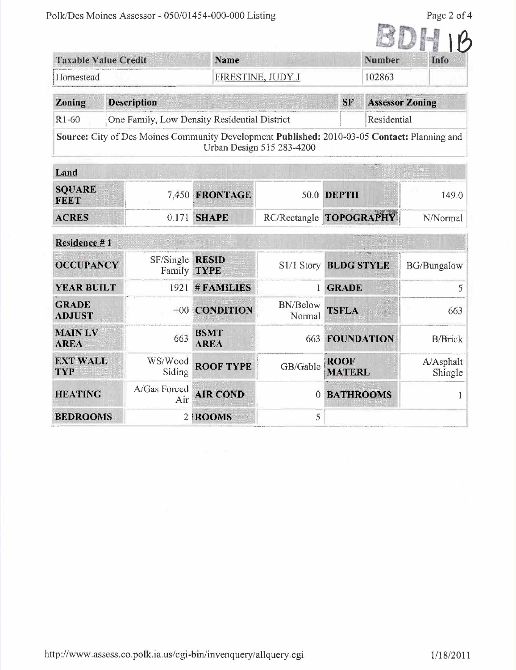Page 2 of 4

| <b>Taxable Value Credit</b>   |                                                                                              | Name                        |                           |                              | <b>Number</b>     | Info                   |
|-------------------------------|----------------------------------------------------------------------------------------------|-----------------------------|---------------------------|------------------------------|-------------------|------------------------|
| Homestead                     |                                                                                              |                             | FIRESTINE, JUDY J         | 102863                       |                   |                        |
| Zoning                        | <b>Description</b>                                                                           |                             |                           | <b>SF</b>                    |                   | <b>Assessor Zoning</b> |
| R1-60                         | One Family, Low Density Residential District                                                 |                             |                           |                              | Residential       |                        |
|                               | Source: City of Des Moines Community Development Published: 2010-03-05 Contact: Planning and |                             | Urban Design 515 283-4200 |                              |                   |                        |
| Land                          |                                                                                              |                             |                           |                              |                   |                        |
| <b>SQUARE</b><br><b>FEET</b>  | 7.450                                                                                        | <b>FRONTAGE</b>             |                           | 50.0 DEPTH                   |                   | 149.0                  |
| <b>ACRES</b>                  | 0.171                                                                                        | <b>SHAPE</b>                |                           | RC/Rectangle TOPOGRAPHY      |                   | N/Normal               |
| Residence #1                  |                                                                                              |                             |                           |                              |                   |                        |
| <b>OCCUPANCY</b>              | SF/Single<br>Family                                                                          | <b>RESID</b><br><b>TYPE</b> | S1/1 Story                | <b>BLDG STYLE</b>            |                   | <b>BG/Bungalow</b>     |
| <b>YEAR BUILT</b>             | 1921                                                                                         | # FAMILIES                  |                           | <b>GRADE</b>                 |                   | 5                      |
| <b>GRADE</b><br><b>ADJUST</b> | $+00$                                                                                        | <b>CONDITION</b>            | <b>BN/Below</b><br>Normal | <b>TSFLA</b>                 |                   | 663                    |
| <b>MAIN LV</b><br><b>AREA</b> | 663                                                                                          | <b>BSMT</b><br><b>AREA</b>  | 663                       |                              | <b>FOUNDATION</b> | <b>B/Brick</b>         |
| <b>EXT WALL</b><br><b>TYP</b> | WS/Wood<br>Siding                                                                            | <b>ROOF TYPE</b>            | GB/Gable                  | <b>ROOF</b><br><b>MATERL</b> |                   | A/Asphalt<br>Shingle   |
| <b>HEATING</b>                | A/Gas Forced<br>Air                                                                          | <b>AIR COND</b>             | 0                         | <b>BATHROOMS</b>             |                   | 1                      |
| <b>BEDROOMS</b>               |                                                                                              | 2   ROOMS                   | 5                         |                              |                   |                        |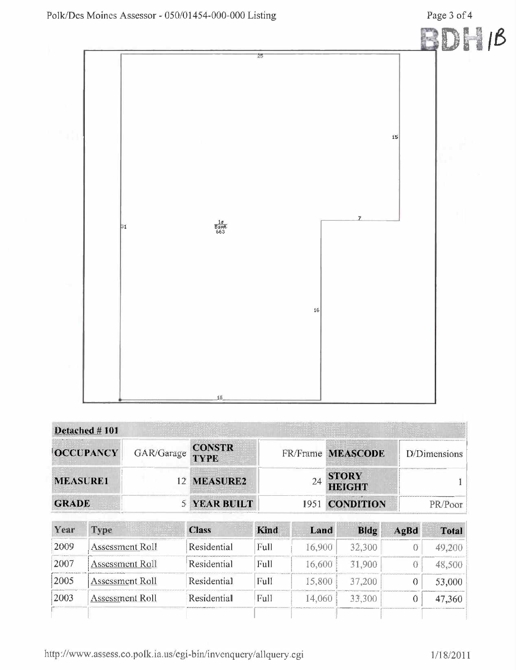Page 3 of 4



| Detached #101    |            |                              |                               |              |
|------------------|------------|------------------------------|-------------------------------|--------------|
| <b>OCCUPANCY</b> | GAR/Garage | <b>CONSTR</b><br><b>TYPE</b> | FR/Frame MEASCODE             | D/Dimensions |
| <b>MEASURE1</b>  |            | 12 MEASURE2                  | <b>STORY</b><br><b>HEIGHT</b> |              |
| <b>GRADE</b>     |            | <b>YEAR BUILT</b>            | 1951 CONDITION                |              |

| Year | Type                   | <b>Class</b> | <b>Kind</b> | Land   | Bldg   | AgBd | Total  |
|------|------------------------|--------------|-------------|--------|--------|------|--------|
| 2009 | Assessment Roll        | Residential  | Full        | 16.900 | 32.300 |      |        |
| 2007 | ssessment Roll         | Residential  | Full        | 6.600  | -900   |      |        |
| 2005 | Assessment Roll        | Residential  | Full        | 15.800 | 37,200 |      | 53,000 |
| 2003 | <b>Assessment Roll</b> | Residential  | Full        | 14.060 | 33.300 |      | 47,360 |
|      |                        |              |             |        |        |      |        |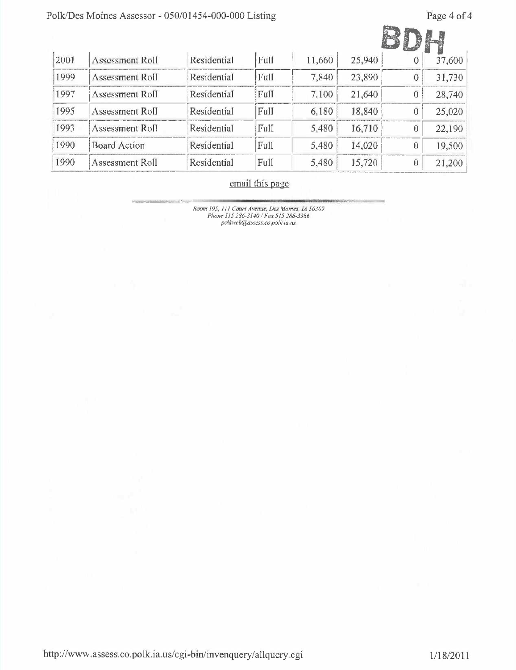## Polk/Des Moines Assessor - 050/01454-000-000 Listing

Page 4 of 4

SDR ..

|      |                        |             |      |        |        | J |        |
|------|------------------------|-------------|------|--------|--------|---|--------|
| 2001 | Assessment Roll        | Residential | Full | 11,660 | 25,940 |   | 37,600 |
| 1999 | Assessment Roll        | Residential | Full | 7,840  | 23,890 |   | 31,730 |
| 1997 | <b>Assessment Roll</b> | Residential | Full | 7,100  | 21,640 |   | 28,740 |
| 1995 | Assessment Roll        | Residential | Full | 6,180  | 18,840 |   | 25,020 |
| 1993 | Assessment Roll        | Residential | Full | 5,480  | 16,710 |   | 22,190 |
| 1990 | <b>Board Action</b>    | Residential | Full | 5,480  | 14,020 |   | 19,500 |
| 1990 | Assessment Roll        | Residential | Full | 5,480  | 15,720 |   | 21,200 |

## email this page

-- Room /95. ¡ I J Courl Avenue, Des Moines, fA 50309 Phone 515 286-3140 / Fax 515 286-3386<br>polkweb@assess.co.polk.ia.us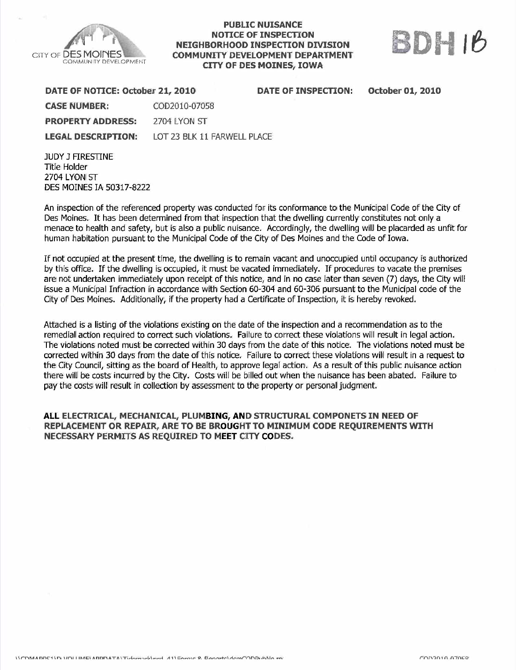

#### PUBLIC NUISANCE NOTICE OF INSPECTON NEIGHBORHOOD INSPECTON DIVISION COMMUNITY DEVELOPMENT DEPARTMENT **CITY OF DES MOINES, IOWA**



| DATE OF NOTICE: October 21, 2010 |                             | <b>DATE OF INSPECTION:</b> | <b>October 01, 2010</b> |
|----------------------------------|-----------------------------|----------------------------|-------------------------|
| <b>CASE NUMBER:</b>              | COD2010-07058               |                            |                         |
| <b>PROPERTY ADDRESS:</b>         | 2704 LYON ST                |                            |                         |
| <b>LEGAL DESCRIPTION:</b>        | LOT 23 BLK 11 FARWELL PLACE |                            |                         |

**JUDY J FIRESTINE** Title Holder 2704 LYON ST DES MOINES IA 50317-8222

An inspection of the referenced property was conducted for its conformance to the Municipal Code of the City of Des Moines. It has been determined from that inspection that the dwelling currently constitutes not only a menace to health and safety, but is also a public nuisance. Accordingly, the dwelling will be placarded as unfit for human habitation pursuant to the Municipal Code of the City of Des Moines and the Code of Iowa.

If not occupied at the present time, the dwelling is to remain vacant and unoccupied until occupancy is authorized by this office. If the dwelling is occupied, it must be vacated immediately. If procedures to vacate the premises are not undertaken immediately upon receipt of this notice, and in no case later than seven (7) days, the City will issue a Municipal Infraction in accordance with Section 60-304 and 60-306 pursuant to the Municipal code of the City of Des Moines. Additionally, if the property had a Certificate of Inspection, it is hereby revoked.

Attached is a listing of the violations existing on the date of the inspection and a recommendation as to the remedial action required to correct such violations, Failure to correct these violations will result in legal action, The violations noted must be corrected within 30 days from the date of this notice. The violations noted must be corrected within 30 days from the date of this notice, Failure to correct these violations will result in a request to the City Council, sitting as the board of Health, to approve legal action, As a result of this public nuisance action there will be costs incurred by the City. Costs will be biled out when the nuisance has been abated. Failure to pay the costs will result in collection by assessment to the property or personal judgment.

#### ALL ELECTRICAL, MECHANICAL, PLUMBING, AND STRUCTURAL COMPONETS IN NEED OF REPLACEMENT OR REPAIR, ARE TO BE BROUGHT TO MINIMUM CODE REQUIREMENTS WITH NECESSARY PERMITS AS REQUIRED TO MEET CITY CODES.

 $\mathcal{L}^{\text{in}}(n)$   $\mathcal{L}^{\text{in}}(n)$  a  $\mathcal{L}^{\text{in}}(n)$  and  $\mathcal{L}^{\text{in}}(n)$  and  $\mathcal{L}^{\text{in}}(n)$  and  $\mathcal{L}^{\text{in}}(n)$  and  $\mathcal{L}^{\text{in}}(n)$  and  $\mathcal{L}^{\text{in}}(n)$  and  $\mathcal{L}^{\text{in}}(n)$  and  $\mathcal{L}^{\text{in}}(n)$  and  $\mathcal{L}^$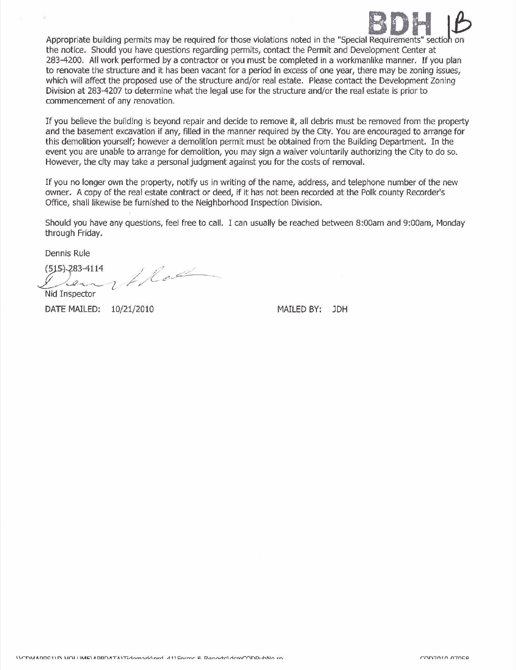

Appropriate building permits may be required for those violations noted in the "Special Requirements" section on the notice. Should you have questions regarding permits, contact the Permit and Development Center at 283-4200, All work performed by a contractor or you must be completed in a workmanlike manner. If you plan to renovate the structure and it has been vacant for a period in excess of one year, there may be zoning issues, which will affect the proposed use of the structure and/or real estate. Please contact the Development Zoning Division at 283-4207 to determine what the legal use for the structure and/or the real estate is prior to commencement of any renovation,

If you believe the building is beyond repair and decide to remove it, all debris must be removed from the propert and the basement excavation if any, filled in the manner required by the City, You are encouraged to arrange for this demolition yourself; however a demoiition permit must be obtained from the Building Department. In the event you are unable to arrange for demolition, you may sign a waiver voiuntarily authorizing the City to do so. However, the city may take a personal judgment against you for the costs of removaL.

If you no longer own the property, notify us in writing of the name, address, and telephone number of the new owner. A copy of the real estate contract or deed, if it has not been recorded at the Polk county Recorder's Office, shall likewise be furnished to the Neighborhood Inspection Division,

Should you have any questions, feel free to call, I can usually be reached between 8:00am and 9:00am, Monday through Friday.

Dennis Rule

(515) 283-4114 Nid Inspector  $1/e<sup>2</sup>$  $f \vee f$ 

DATE MAILED: 10/21/2010

MAILED BY: JDH